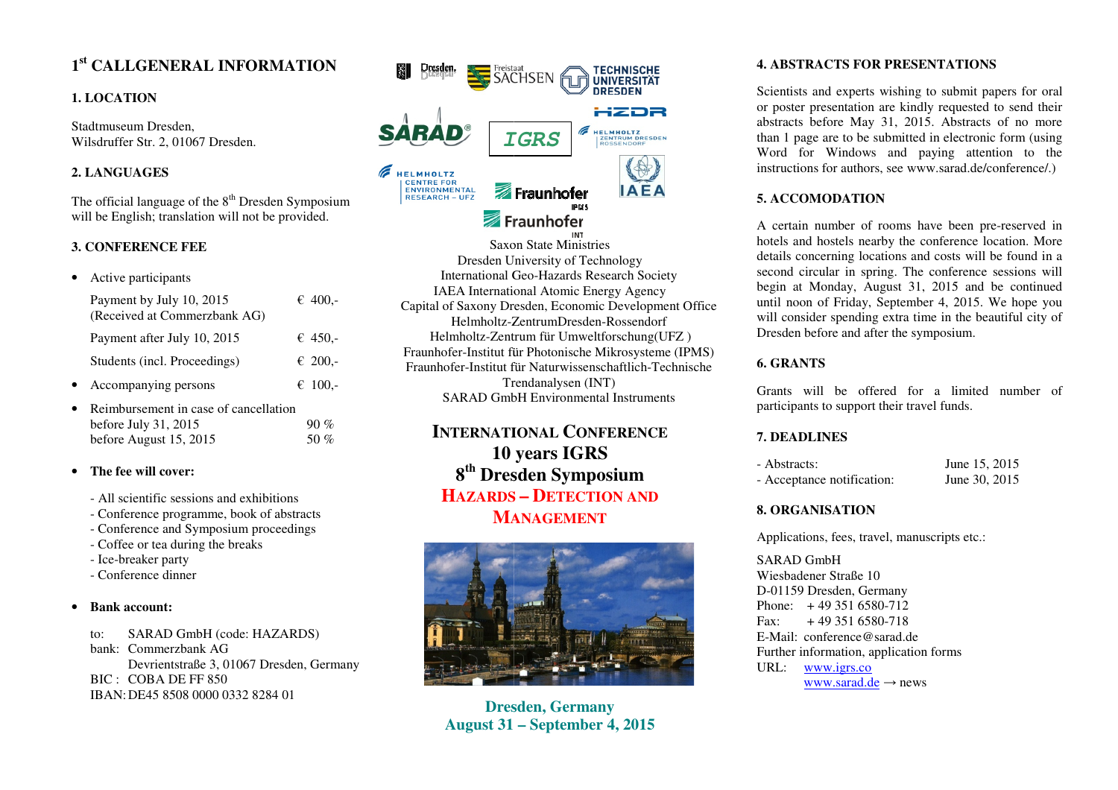# **1st CALLGENERAL INFORMATION**

# **1. LOCATION**

Stadtmuseum Dresden, Wilsdruffer Str. 2, 01067 Dresden.

# **2. LANGUAGES**

The official language of the  $8<sup>th</sup>$  Dresden Symposium will be English; translation will not be provided.

## **3. CONFERENCE FEE**

| Active participants                                      |                                       |
|----------------------------------------------------------|---------------------------------------|
| Payment by July 10, 2015<br>(Received at Commerzbank AG) | € 400.-                               |
| Payment after July 10, 2015                              | € 450.-                               |
| Students (incl. Proceedings)                             | € 200,-                               |
| Accompanying persons                                     | € 100,-                               |
| before July $31, 2015$                                   |                                       |
|                                                          | Reimbursement in case of cancellation |

#### •**The fee will cover:**

before August 15, 2015

- All scientific sessions and exhibitions
- Conference programme, book of abstracts

50 %

- Conference and Symposium proceedings
- Coffee or tea during the breaks
- Ice-breaker party
- Conference dinner

#### •**Bank account:**

to: SARAD GmbH (code: HAZARDS) bank: Commerzbank AG Devrientstraße 3, 01067 Dresden, Germany BIC : COBA DE FF 850 IBAN: DE45 8508 0000 0332 8284 01



Saxon State Ministries Dresden Un University of TechnologyInternational Geo-Hazards Research Society IAEA International Atomic Energy Agency Capital of Saxony Dresden, Economic Development Office Helmholtz-ZentrumDresden-Rossendorf Helmholtz-Zentrum für Umweltforschung(UFZ) Fraunhofer-Institut für Photonische Mikrosysteme (IPMS) Fraunhofer-Institut fü <sup>t</sup> für Naturwissenschaftlich-Technische Trendanalysen (INT) SARAD GmbH Environmental Instruments

# **INTERNATITIONAL CONFERENCE 10 y0 years IGRS 8th Dres esden SymposiumHAZARDS – DETECTION AND MA ANAGEMENT**



**Dresesden, Germany August 31 1 – September 4, 2015** 

### **4. ABSTRACTS FOR PRESENTATATIONS**

Scientists and experts wishing to submit papers for oral or poster presentation are kindly requested to send their abstracts before May 31, 2015. Abstracts of no more than 1 page are to be submitted in electronic form (using Word for Windows and paying attention to the instructions for authors, see www.sarad.de/conference/.)

# **5. ACCOMODATION**

A certain number of rooms have been pre-reserved in hotels and hostels nearby the conference location. More details concerning locations and costs will be found in a second circular in spring. The conference sessions will begin at Monday, August 31, 2015 15 and be continued until noon of Friday, September 4, 2015. We hope you will consider spending extra time in the beautiful city of Dresden before and after the symposium.

# **6. GRANTS**

Grants will be offered for a limited number of participants to support their travel funds.

### **7. DEADLINES**

| - Abstracts:               | June 15, 2015 |
|----------------------------|---------------|
| - Acceptance notification: | June 30, 2015 |

# **8. ORGANISATION**

Applications, fees, travel, manuscripts etc.:

SARAD GmbH Wiesbadener Straße 10 D-01159 Dresden, Germany Phone: + 49 351 6580-712  $Fax: + 493516580-718$  E-Mail: conference@sarad.de Further information, application forms URL: www.igrs.cowww.sarad.de→ news